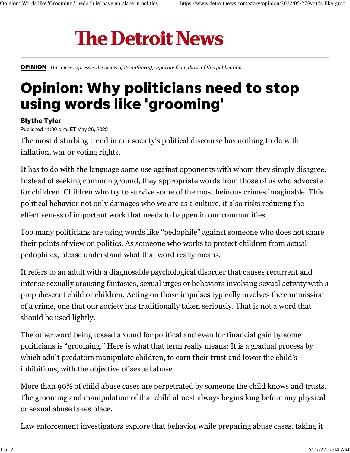## **The Detroit News**

[OPINION](https://www.detroitnews.com/opinion/) *This piece expresses the views of its author(s), separate from those of this publication.*

## Opinion: Why politicians need to stop using words like 'grooming'

## Blythe Tyler

Published 11:00 p.m. ET May 26, 2022

The most disturbing trend in our society's political discourse has nothing to do with inflation, war or voting rights.

It has to do with the language some use against opponents with whom they simply disagree. Instead of seeking common ground, they appropriate words from those of us who advocate for children. Children who try to survive some of the most heinous crimes imaginable. This political behavior not only damages who we are as a culture, it also risks reducing the effectiveness of important work that needs to happen in our communities.

Too many politicians are using words like ["pedophile](https://abcnews.go.com/US/republicans-false-pedophilia-claims-attack-democrats-lgbtq-people/story?id=84344687)" against someone who does not share their points of view on politics. As someone who works to protect children from actual pedophiles, please understand what that word really means.

It refers to an adult with a diagnosable psychological disorder that causes recurrent and intense sexually arousing fantasies, sexual urges or behaviors involving sexual activity with a prepubescent child or children. Acting on those impulses typically involves the commission of a crime, one that our society has traditionally taken seriously. That is not a word that should be used lightly.

The other word being tossed around for political and even for financial gain by some politicians is ["grooming.](https://www.detroitnews.com/story/news/politics/2022/04/20/michigan-senator-gains-spotlight-denouncing-hateful-garbage/7380771001/)" Here is what that term really means: It is a gradual process by which adult predators manipulate children, to earn their trust and lower the child's inhibitions, with the objective of sexual abuse.

More than [90% of child abuse cases](https://www.rainn.org/statistics/children-and-teens) are perpetrated by someone the child knows and trusts. The grooming and manipulation of that child almost always begins long before any physical or sexual abuse takes place.

Law enforcement investigators explore that behavior while preparing abuse cases, taking it